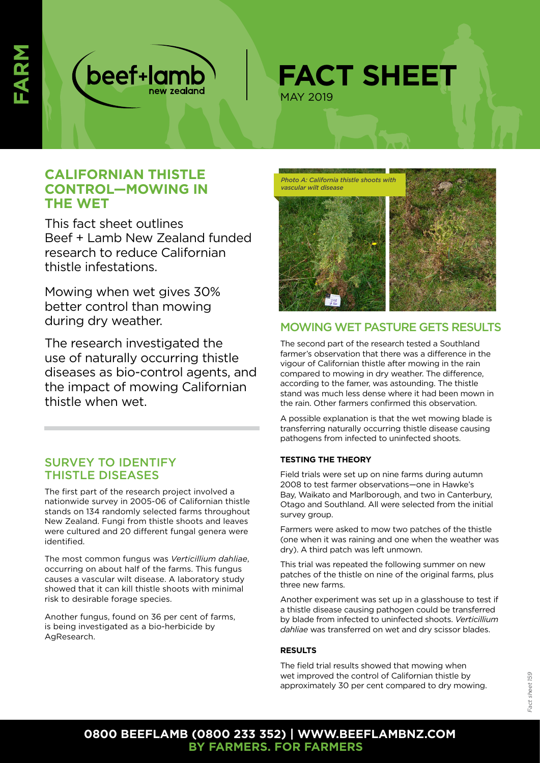



# **CALIFORNIAN THISTLE CONTROL—MOWING IN THE WET**

This fact sheet outlines Beef + Lamb New Zealand funded research to reduce Californian thistle infestations.

Mowing when wet gives 30% better control than mowing during dry weather.

The research investigated the use of naturally occurring thistle diseases as bio-control agents, and the impact of mowing Californian thistle when wet.

## SURVEY TO IDENTIFY THISTLE DISEASES

The first part of the research project involved a nationwide survey in 2005-06 of Californian thistle stands on 134 randomly selected farms throughout New Zealand. Fungi from thistle shoots and leaves were cultured and 20 different fungal genera were identified.

The most common fungus was *Verticillium dahliae*, occurring on about half of the farms. This fungus causes a vascular wilt disease. A laboratory study showed that it can kill thistle shoots with minimal risk to desirable forage species.

Another fungus, found on 36 per cent of farms, is being investigated as a bio-herbicide by AgResearch.



### MOWING WET PASTURE GETS RESULTS

The second part of the research tested a Southland farmer's observation that there was a difference in the vigour of Californian thistle after mowing in the rain compared to mowing in dry weather. The difference, according to the famer, was astounding. The thistle stand was much less dense where it had been mown in the rain. Other farmers confirmed this observation.

A possible explanation is that the wet mowing blade is transferring naturally occurring thistle disease causing pathogens from infected to uninfected shoots.

### **TESTING THE THEORY**

Field trials were set up on nine farms during autumn 2008 to test farmer observations—one in Hawke's Bay, Waikato and Marlborough, and two in Canterbury, Otago and Southland. All were selected from the initial survey group.

Farmers were asked to mow two patches of the thistle (one when it was raining and one when the weather was dry). A third patch was left unmown.

This trial was repeated the following summer on new patches of the thistle on nine of the original farms, plus three new farms.

Another experiment was set up in a glasshouse to test if a thistle disease causing pathogen could be transferred by blade from infected to uninfected shoots. *Verticillium dahliae* was transferred on wet and dry scissor blades.

#### **RESULTS**

The field trial results showed that mowing when wet improved the control of Californian thistle by approximately 30 per cent compared to dry mowing.

### **0800 BEEFLAMB (0800 233 352) | WWW.BEEFLAMBNZ.COM BY FARMERS. FOR FARMERS**